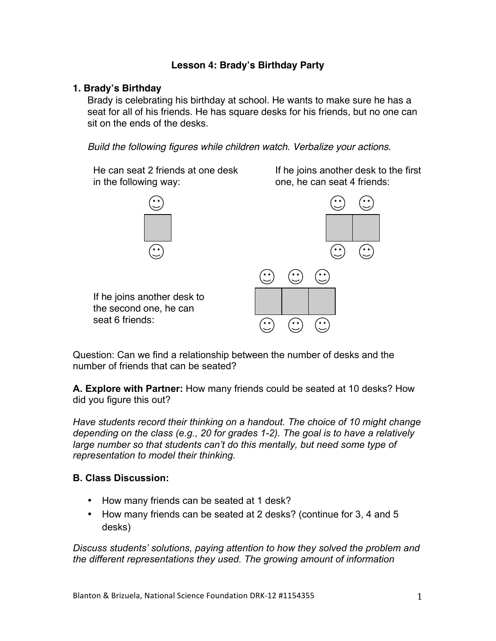# **Lesson 4: Brady's Birthday Party**

### **1. Brady's Birthday**

Brady is celebrating his birthday at school. He wants to make sure he has a seat for all of his friends. He has square desks for his friends, but no one can sit on the ends of the desks.

*Build the following figures while children watch. Verbalize your actions.*

He can seat 2 friends at one desk in the following way:

If he joins another desk to the first one, he can seat 4 friends:



Question: Can we find a relationship between the number of desks and the number of friends that can be seated?

**A. Explore with Partner:** How many friends could be seated at 10 desks? How did you figure this out?

*Have students record their thinking on a handout. The choice of 10 might change depending on the class (e.g., 20 for grades 1-2). The goal is to have a relatively large number so that students can't do this mentally, but need some type of representation to model their thinking.*

### **B. Class Discussion:**

- How many friends can be seated at 1 desk?
- How many friends can be seated at 2 desks? (continue for 3, 4 and 5 desks)

*Discuss students' solutions, paying attention to how they solved the problem and the different representations they used. The growing amount of information*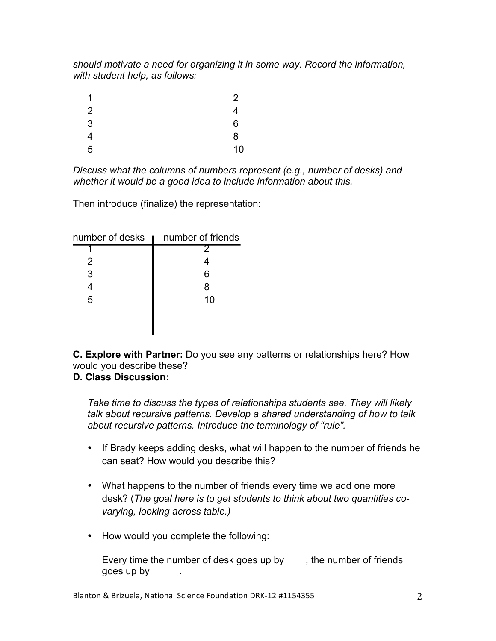*should motivate a need for organizing it in some way. Record the information, with student help, as follows:*

| 1 | $\overline{2}$ |
|---|----------------|
| 2 | 4              |
| 3 | 6              |
| 4 | 8              |
| 5 | 10             |

*Discuss what the columns of numbers represent (e.g., number of desks) and whether it would be a good idea to include information about this.*

Then introduce (finalize) the representation:

| number of desks <b>I</b> | number of friends |
|--------------------------|-------------------|
|                          |                   |
| 2                        |                   |
| 3                        | 6                 |
|                          | 8                 |
| 5                        | 10                |
|                          |                   |
|                          |                   |

**C. Explore with Partner:** Do you see any patterns or relationships here? How would you describe these?

# **D. Class Discussion:**

*Take time to discuss the types of relationships students see. They will likely talk about recursive patterns. Develop a shared understanding of how to talk about recursive patterns. Introduce the terminology of "rule".*

- If Brady keeps adding desks, what will happen to the number of friends he can seat? How would you describe this?
- What happens to the number of friends every time we add one more desk? (*The goal here is to get students to think about two quantities covarying, looking across table.)*
- How would you complete the following:

Every time the number of desk goes up by , the number of friends goes up by  $\qquad \qquad$ .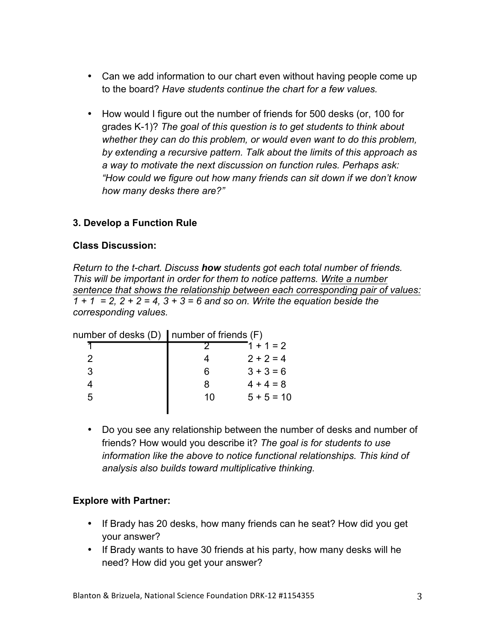- Can we add information to our chart even without having people come up to the board? *Have students continue the chart for a few values.*
- How would I figure out the number of friends for 500 desks (or, 100 for grades K-1)? *The goal of this question is to get students to think about whether they can do this problem, or would even want to do this problem, by extending a recursive pattern. Talk about the limits of this approach as a way to motivate the next discussion on function rules. Perhaps ask: "How could we figure out how many friends can sit down if we don't know how many desks there are?"*

## **3. Develop a Function Rule**

#### **Class Discussion:**

*Return to the t-chart. Discuss how students got each total number of friends. This will be important in order for them to notice patterns. Write a number sentence that shows the relationship between each corresponding pair of values: 1 + 1 = 2, 2 + 2 = 4, 3 + 3 = 6 and so on. Write the equation beside the corresponding values.*

|   | number of desks $(D)$   number of friends $(F)$ |              |  |
|---|-------------------------------------------------|--------------|--|
|   |                                                 | $1 + 1 = 2$  |  |
| 2 |                                                 | $2 + 2 = 4$  |  |
| 3 | ิค                                              | $3 + 3 = 6$  |  |
|   | 8                                               | $4 + 4 = 8$  |  |
| 5 | 10                                              | $5 + 5 = 10$ |  |
|   |                                                 |              |  |

ш • Do you see any relationship between the number of desks and number of friends? How would you describe it? *The goal is for students to use information like the above to notice functional relationships. This kind of analysis also builds toward multiplicative thinking.*

### **Explore with Partner:**

- If Brady has 20 desks, how many friends can he seat? How did you get your answer?
- If Brady wants to have 30 friends at his party, how many desks will he need? How did you get your answer?